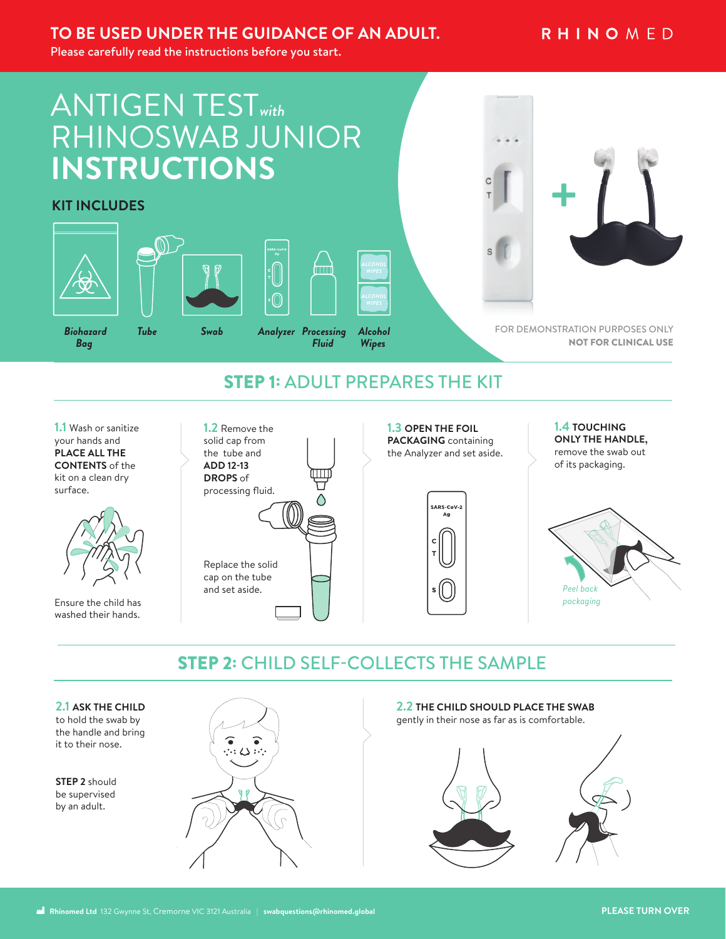## **TO BE USED UNDER THE GUIDANCE OF AN ADULT.**

## **RHINOMED**

Please carefully read the instructions before you start.

# ANTIGEN TEST*with* RHINOSWAB JUNIOR **INSTRUCTIONS**

### **KIT INCLUDES**









*Fluid Alcohol Wipes* 



FOR DEMONSTRATION PURPOSES ONLY NOT FOR CLINICAL USE

# STEP 1: ADULT PREPARES THE KIT

**1.1** Wash or sanitize your hands and **PLACE ALL THE CONTENTS** of the kit on a clean dry surface.



Ensure the child has washed their hands.



**1.3 OPEN THE FOIL PACKAGING** containing the Analyzer and set aside.

```
SARS-CoV-2
Ag
```
**1.4 TOUCHING ONLY THE HANDLE,** remove the swab out of its packaging.



# STEP 2: CHILD SELF-COLLECTS THE SAMPLE



to hold the swab by the handle and bring it to their nose.

**STEP 2** should be supervised by an adult.



#### **2.2 THE CHILD SHOULD PLACE THE SWAB**

gently in their nose as far as is comfortable.